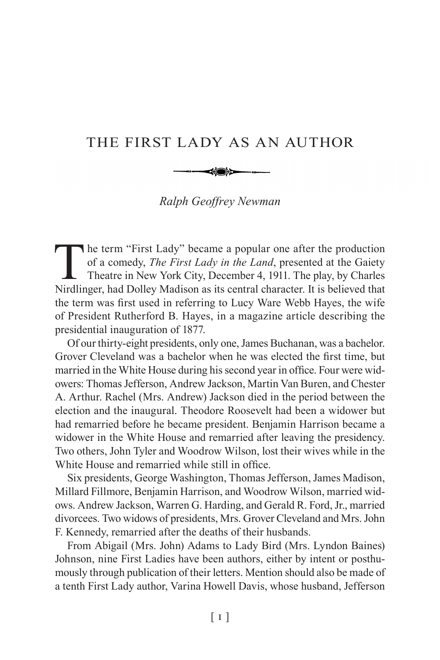## THE FIRST LADY AS AN AUTHOR

*Ralph Geoffrey Newman*

The term "First Lady" became a popular one after the production<br>of a comedy, *The First Lady in the Land*, presented at the Gaiety<br>Theatre in New York City, December 4, 1911. The play, by Charles<br>Nirdlinger had Dolley Madi of a comedy, *The First Lady in the Land*, presented at the Gaiety Theatre in New York City, December 4, 1911. The play, by Charles Nirdlinger, had Dolley Madison as its central character. It is believed that the term was first used in referring to Lucy Ware Webb Hayes, the wife of President Rutherford B. Hayes, in a magazine article describing the presidential inauguration of 1877.

Of our thirty-eight presidents, only one, James Buchanan, was a bachelor. Grover Cleveland was a bachelor when he was elected the first time, but married in the White House during his second year in office. Four were widowers: Thomas Jefferson, Andrew Jackson, Martin Van Buren, and Chester A. Arthur. Rachel (Mrs. Andrew) Jackson died in the period between the election and the inaugural. Theodore Roosevelt had been a widower but had remarried before he became president. Benjamin Harrison became a widower in the White House and remarried after leaving the presidency. Two others, John Tyler and Woodrow Wilson, lost their wives while in the White House and remarried while still in office.

Six presidents, George Washington, Thomas Jefferson, James Madison, Millard Fillmore, Benjamin Harrison, and Woodrow Wilson, married widows. Andrew Jackson, Warren G. Harding, and Gerald R. Ford, Jr., married divorcees. Two widows of presidents, Mrs. Grover Cleveland and Mrs. John F. Kennedy, remarried after the deaths of their husbands.

From Abigail (Mrs. John) Adams to Lady Bird (Mrs. Lyndon Baines) Johnson, nine First Ladies have been authors, either by intent or posthumously through publication of their letters. Mention should also be made of a tenth First Lady author, Varina Howell Davis, whose husband, Jefferson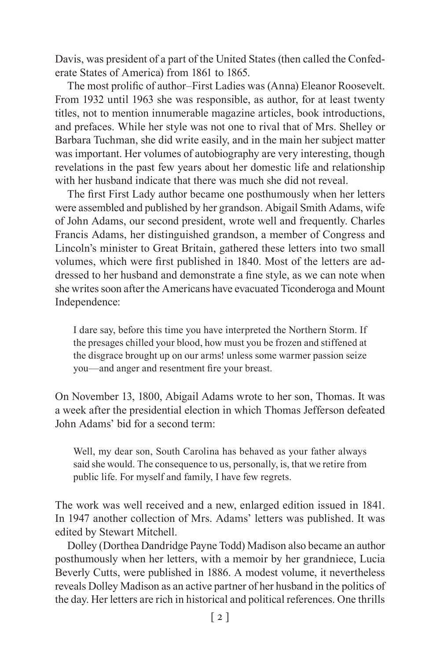Davis, was president of a part of the United States (then called the Confederate States of America) from 1861 to 1865.

The most prolific of author–First Ladies was (Anna) Eleanor Roosevelt. From 1932 until 1963 she was responsible, as author, for at least twenty titles, not to mention innumerable magazine articles, book introductions, and prefaces. While her style was not one to rival that of Mrs. Shelley or Barbara Tuchman, she did write easily, and in the main her subject matter was important. Her volumes of autobiography are very interesting, though revelations in the past few years about her domestic life and relationship with her husband indicate that there was much she did not reveal.

The first First Lady author became one posthumously when her letters were assembled and published by her grandson. Abigail Smith Adams, wife of John Adams, our second president, wrote well and frequently. Charles Francis Adams, her distinguished grandson, a member of Congress and Lincoln's minister to Great Britain, gathered these letters into two small volumes, which were first published in 1840. Most of the letters are addressed to her husband and demonstrate a fine style, as we can note when she writes soon after the Americans have evacuated Ticonderoga and Mount Independence:

I dare say, before this time you have interpreted the Northern Storm. If the presages chilled your blood, how must you be frozen and stiffened at the disgrace brought up on our arms! unless some warmer passion seize you—and anger and resentment fire your breast.

On November 13, 1800, Abigail Adams wrote to her son, Thomas. It was a week after the presidential election in which Thomas Jefferson defeated John Adams' bid for a second term:

Well, my dear son, South Carolina has behaved as your father always said she would. The consequence to us, personally, is, that we retire from public life. For myself and family, I have few regrets.

The work was well received and a new, enlarged edition issued in 1841. In 1947 another collection of Mrs. Adams' letters was published. It was edited by Stewart Mitchell.

Dolley (Dorthea Dandridge Payne Todd) Madison also became an author posthumously when her letters, with a memoir by her grandniece, Lucia Beverly Cutts, were published in 1886. A modest volume, it nevertheless reveals Dolley Madison as an active partner of her husband in the politics of the day. Her letters are rich in historical and political references. One thrills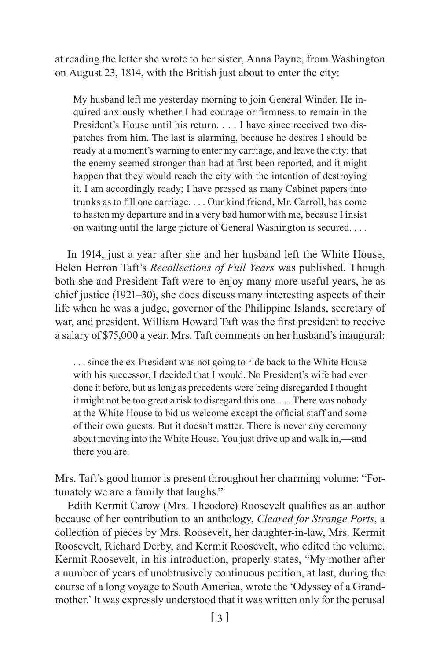at reading the letter she wrote to her sister, Anna Payne, from Washington on August 23, 1814, with the British just about to enter the city:

My husband left me yesterday morning to join General Winder. He inquired anxiously whether I had courage or firmness to remain in the President's House until his return. . . . I have since received two dispatches from him. The last is alarming, because he desires I should be ready at a moment's warning to enter my carriage, and leave the city; that the enemy seemed stronger than had at first been reported, and it might happen that they would reach the city with the intention of destroying it. I am accordingly ready; I have pressed as many Cabinet papers into trunks as to fill one carriage. . . . Our kind friend, Mr. Carroll, has come to hasten my departure and in a very bad humor with me, because I insist on waiting until the large picture of General Washington is secured. . . .

In 1914, just a year after she and her husband left the White House, Helen Herron Taft's *Recollections of Full Years* was published. Though both she and President Taft were to enjoy many more useful years, he as chief justice (1921–30), she does discuss many interesting aspects of their life when he was a judge, governor of the Philippine Islands, secretary of war, and president. William Howard Taft was the first president to receive a salary of \$75,000 a year. Mrs. Taft comments on her husband's inaugural:

. . . since the ex-President was not going to ride back to the White House with his successor, I decided that I would. No President's wife had ever done it before, but as long as precedents were being disregarded I thought it might not be too great a risk to disregard this one. . . . There was nobody at the White House to bid us welcome except the official staff and some of their own guests. But it doesn't matter. There is never any ceremony about moving into the White House. You just drive up and walk in,—and there you are.

Mrs. Taft's good humor is present throughout her charming volume: "Fortunately we are a family that laughs."

Edith Kermit Carow (Mrs. Theodore) Roosevelt qualifies as an author because of her contribution to an anthology, *Cleared for Strange Ports*, a collection of pieces by Mrs. Roosevelt, her daughter-in-law, Mrs. Kermit Roosevelt, Richard Derby, and Kermit Roosevelt, who edited the volume. Kermit Roosevelt, in his introduction, properly states, "My mother after a number of years of unobtrusively continuous petition, at last, during the course of a long voyage to South America, wrote the 'Odyssey of a Grandmother.' It was expressly understood that it was written only for the perusal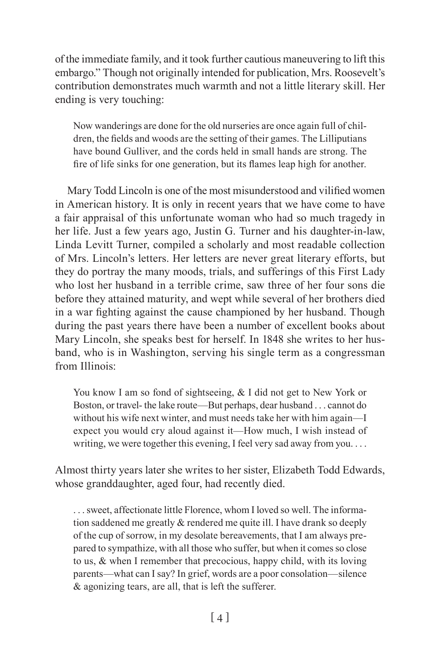of the immediate family, and it took further cautious maneuvering to lift this embargo." Though not originally intended for publication, Mrs. Roosevelt's contribution demonstrates much warmth and not a little literary skill. Her ending is very touching:

Now wanderings are done for the old nurseries are once again full of children, the fields and woods are the setting of their games. The Lilliputians have bound Gulliver, and the cords held in small hands are strong. The fire of life sinks for one generation, but its flames leap high for another.

Mary Todd Lincoln is one of the most misunderstood and vilified women in American history. It is only in recent years that we have come to have a fair appraisal of this unfortunate woman who had so much tragedy in her life. Just a few years ago, Justin G. Turner and his daughter-in-law, Linda Levitt Turner, compiled a scholarly and most readable collection of Mrs. Lincoln's letters. Her letters are never great literary efforts, but they do portray the many moods, trials, and sufferings of this First Lady who lost her husband in a terrible crime, saw three of her four sons die before they attained maturity, and wept while several of her brothers died in a war fighting against the cause championed by her husband. Though during the past years there have been a number of excellent books about Mary Lincoln, she speaks best for herself. In 1848 she writes to her husband, who is in Washington, serving his single term as a congressman from Illinois:

You know I am so fond of sightseeing, & I did not get to New York or Boston, or travel- the lake route—But perhaps, dear husband . . . cannot do without his wife next winter, and must needs take her with him again—I expect you would cry aloud against it—How much, I wish instead of writing, we were together this evening, I feel very sad away from you....

Almost thirty years later she writes to her sister, Elizabeth Todd Edwards, whose granddaughter, aged four, had recently died.

. . . sweet, affectionate little Florence, whom I loved so well. The information saddened me greatly & rendered me quite ill. I have drank so deeply of the cup of sorrow, in my desolate bereavements, that I am always prepared to sympathize, with all those who suffer, but when it comes so close to us, & when I remember that precocious, happy child, with its loving parents—what can I say? In grief, words are a poor consolation—silence & agonizing tears, are all, that is left the sufferer.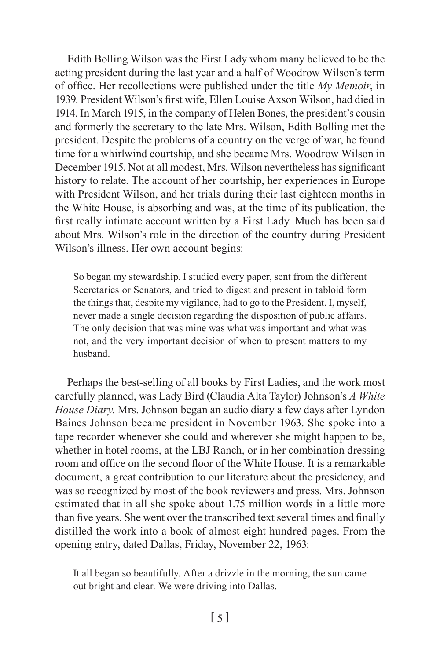Edith Bolling Wilson was the First Lady whom many believed to be the acting president during the last year and a half of Woodrow Wilson's term of office. Her recollections were published under the title *My Memoir*, in 1939. President Wilson's first wife, Ellen Louise Axson Wilson, had died in 1914. In March 1915, in the company of Helen Bones, the president's cousin and formerly the secretary to the late Mrs. Wilson, Edith Bolling met the president. Despite the problems of a country on the verge of war, he found time for a whirlwind courtship, and she became Mrs. Woodrow Wilson in December 1915. Not at all modest, Mrs. Wilson nevertheless has significant history to relate. The account of her courtship, her experiences in Europe with President Wilson, and her trials during their last eighteen months in the White House, is absorbing and was, at the time of its publication, the first really intimate account written by a First Lady. Much has been said about Mrs. Wilson's role in the direction of the country during President Wilson's illness. Her own account begins:

So began my stewardship. I studied every paper, sent from the different Secretaries or Senators, and tried to digest and present in tabloid form the things that, despite my vigilance, had to go to the President. I, myself, never made a single decision regarding the disposition of public affairs. The only decision that was mine was what was important and what was not, and the very important decision of when to present matters to my husband.

Perhaps the best-selling of all books by First Ladies, and the work most carefully planned, was Lady Bird (Claudia Alta Taylor) Johnson's *A White House Diary*. Mrs. Johnson began an audio diary a few days after Lyndon Baines Johnson became president in November 1963. She spoke into a tape recorder whenever she could and wherever she might happen to be, whether in hotel rooms, at the LBJ Ranch, or in her combination dressing room and office on the second floor of the White House. It is a remarkable document, a great contribution to our literature about the presidency, and was so recognized by most of the book reviewers and press. Mrs. Johnson estimated that in all she spoke about 1.75 million words in a little more than five years. She went over the transcribed text several times and finally distilled the work into a book of almost eight hundred pages. From the opening entry, dated Dallas, Friday, November 22, 1963:

It all began so beautifully. After a drizzle in the morning, the sun came out bright and clear. We were driving into Dallas.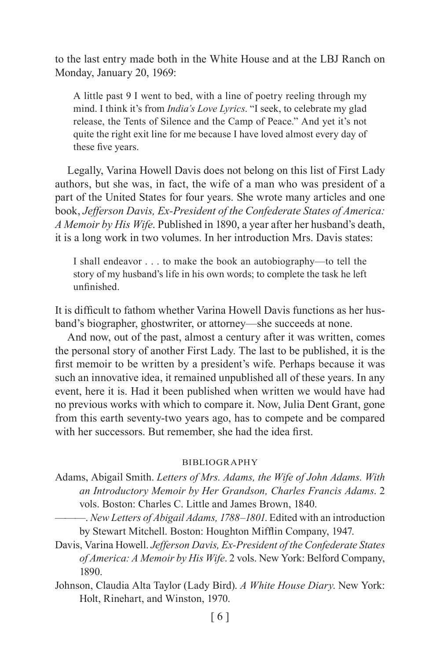to the last entry made both in the White House and at the LBJ Ranch on Monday, January 20, 1969:

A little past 9 I went to bed, with a line of poetry reeling through my mind. I think it's from *India's Love Lyrics*. "I seek, to celebrate my glad release, the Tents of Silence and the Camp of Peace." And yet it's not quite the right exit line for me because I have loved almost every day of these five years.

Legally, Varina Howell Davis does not belong on this list of First Lady authors, but she was, in fact, the wife of a man who was president of a part of the United States for four years. She wrote many articles and one book, *Jefferson Davis, Ex-President of the Confederate States of America: A Memoir by His Wife*. Published in 1890, a year after her husband's death, it is a long work in two volumes. In her introduction Mrs. Davis states:

I shall endeavor . . . to make the book an autobiography—to tell the story of my husband's life in his own words; to complete the task he left unfinished.

It is difficult to fathom whether Varina Howell Davis functions as her husband's biographer, ghostwriter, or attorney—she succeeds at none.

And now, out of the past, almost a century after it was written, comes the personal story of another First Lady. The last to be published, it is the first memoir to be written by a president's wife. Perhaps because it was such an innovative idea, it remained unpublished all of these years. In any event, here it is. Had it been published when written we would have had no previous works with which to compare it. Now, Julia Dent Grant, gone from this earth seventy-two years ago, has to compete and be compared with her successors. But remember, she had the idea first.

## **BIBLIOGRAPHY**

Adams, Abigail Smith. *Letters of Mrs. Adams, the Wife of John Adams. With an Introductory Memoir by Her Grandson, Charles Francis Adams*. 2 vols. Boston: Charles C. Little and James Brown, 1840.

- ———. *New Letters of Abigail Adams, 1788–1801*. Edited with an introduction by Stewart Mitchell. Boston: Houghton Mifflin Company, 1947.
- Davis, Varina Howell. *Jefferson Davis, Ex-President of the Confederate States of America: A Memoir by His Wife*. 2 vols. New York: Belford Company, 1890.

Johnson, Claudia Alta Taylor (Lady Bird). *A White House Diary*. New York: Holt, Rinehart, and Winston, 1970.